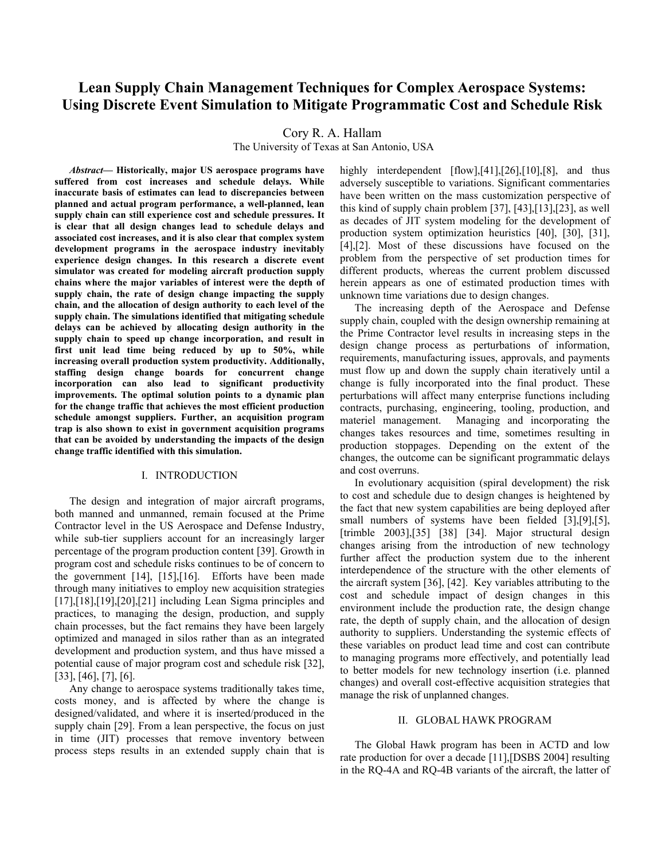# **Lean Supply Chain Management Techniques for Complex Aerospace Systems: Using Discrete Event Simulation to Mitigate Programmatic Cost and Schedule Risk**

Cory R. A. Hallam

The University of Texas at San Antonio, USA

*Abstract***— Historically, major US aerospace programs have suffered from cost increases and schedule delays. While inaccurate basis of estimates can lead to discrepancies between planned and actual program performance, a well-planned, lean supply chain can still experience cost and schedule pressures. It is clear that all design changes lead to schedule delays and associated cost increases, and it is also clear that complex system development programs in the aerospace industry inevitably experience design changes. In this research a discrete event simulator was created for modeling aircraft production supply chains where the major variables of interest were the depth of supply chain, the rate of design change impacting the supply chain, and the allocation of design authority to each level of the supply chain. The simulations identified that mitigating schedule delays can be achieved by allocating design authority in the supply chain to speed up change incorporation, and result in first unit lead time being reduced by up to 50%, while increasing overall production system productivity. Additionally, staffing design change boards for concurrent change incorporation can also lead to significant productivity improvements. The optimal solution points to a dynamic plan for the change traffic that achieves the most efficient production schedule amongst suppliers. Further, an acquisition program trap is also shown to exist in government acquisition programs that can be avoided by understanding the impacts of the design change traffic identified with this simulation.** 

#### I. INTRODUCTION

The design and integration of major aircraft programs, both manned and unmanned, remain focused at the Prime Contractor level in the US Aerospace and Defense Industry, while sub-tier suppliers account for an increasingly larger percentage of the program production content [39]. Growth in program cost and schedule risks continues to be of concern to the government [14], [15],[16]. Efforts have been made through many initiatives to employ new acquisition strategies [17],[18],[19],[20],[21] including Lean Sigma principles and practices, to managing the design, production, and supply chain processes, but the fact remains they have been largely optimized and managed in silos rather than as an integrated development and production system, and thus have missed a potential cause of major program cost and schedule risk [32], [33], [46], [7], [6].

Any change to aerospace systems traditionally takes time, costs money, and is affected by where the change is designed/validated, and where it is inserted/produced in the supply chain [29]. From a lean perspective, the focus on just in time (JIT) processes that remove inventory between process steps results in an extended supply chain that is highly interdependent [flow],[41],[26],[10],[8], and thus adversely susceptible to variations. Significant commentaries have been written on the mass customization perspective of this kind of supply chain problem [37], [43],[13],[23], as well as decades of JIT system modeling for the development of production system optimization heuristics [40], [30], [31], [4],[2]. Most of these discussions have focused on the problem from the perspective of set production times for different products, whereas the current problem discussed herein appears as one of estimated production times with unknown time variations due to design changes.

The increasing depth of the Aerospace and Defense supply chain, coupled with the design ownership remaining at the Prime Contractor level results in increasing steps in the design change process as perturbations of information, requirements, manufacturing issues, approvals, and payments must flow up and down the supply chain iteratively until a change is fully incorporated into the final product. These perturbations will affect many enterprise functions including contracts, purchasing, engineering, tooling, production, and materiel management. Managing and incorporating the changes takes resources and time, sometimes resulting in production stoppages. Depending on the extent of the changes, the outcome can be significant programmatic delays and cost overruns.

In evolutionary acquisition (spiral development) the risk to cost and schedule due to design changes is heightened by the fact that new system capabilities are being deployed after small numbers of systems have been fielded [3],[9],[5], [trimble 2003],[35] [38] [34]. Major structural design changes arising from the introduction of new technology further affect the production system due to the inherent interdependence of the structure with the other elements of the aircraft system [36], [42]. Key variables attributing to the cost and schedule impact of design changes in this environment include the production rate, the design change rate, the depth of supply chain, and the allocation of design authority to suppliers. Understanding the systemic effects of these variables on product lead time and cost can contribute to managing programs more effectively, and potentially lead to better models for new technology insertion (i.e. planned changes) and overall cost-effective acquisition strategies that manage the risk of unplanned changes.

#### II. GLOBAL HAWK PROGRAM

The Global Hawk program has been in ACTD and low rate production for over a decade [11],[DSBS 2004] resulting in the RQ-4A and RQ-4B variants of the aircraft, the latter of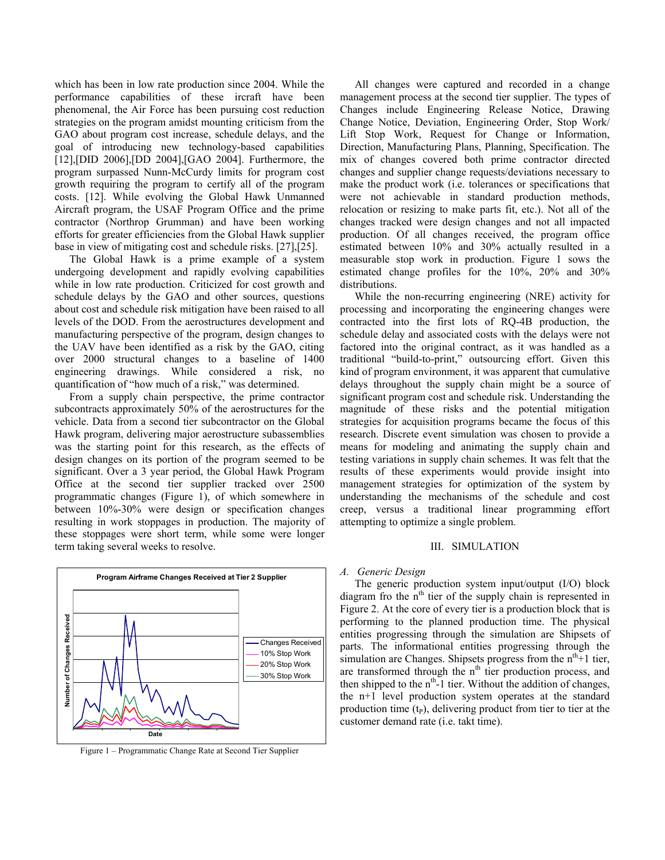which has been in low rate production since 2004. While the performance capabilities of these ircraft have been phenomenal, the Air Force has been pursuing cost reduction strategies on the program amidst mounting criticism from the GAO about program cost increase, schedule delays, and the goal of introducing new technology-based capabilities [12],[DID 2006],[DD 2004],[GAO 2004]. Furthermore, the program surpassed Nunn-McCurdy limits for program cost growth requiring the program to certify all of the program costs. [12]. While evolving the Global Hawk Unmanned Aircraft program, the USAF Program Office and the prime contractor (Northrop Grumman) and have been working efforts for greater efficiencies from the Global Hawk supplier base in view of mitigating cost and schedule risks. [27],[25].

The Global Hawk is a prime example of a system undergoing development and rapidly evolving capabilities while in low rate production. Criticized for cost growth and schedule delays by the GAO and other sources, questions about cost and schedule risk mitigation have been raised to all levels of the DOD. From the aerostructures development and manufacturing perspective of the program, design changes to the UAV have been identified as a risk by the GAO, citing over 2000 structural changes to a baseline of 1400 engineering drawings. While considered a risk, no quantification of "how much of a risk," was determined.

From a supply chain perspective, the prime contractor subcontracts approximately 50% of the aerostructures for the vehicle. Data from a second tier subcontractor on the Global Hawk program, delivering major aerostructure subassemblies was the starting point for this research, as the effects of design changes on its portion of the program seemed to be significant. Over a 3 year period, the Global Hawk Program Office at the second tier supplier tracked over 2500 programmatic changes (Figure 1), of which somewhere in between 10%-30% were design or specification changes resulting in work stoppages in production. The majority of these stoppages were short term, while some were longer term taking several weeks to resolve.



Figure 1 – Programmatic Change Rate at Second Tier Supplier

All changes were captured and recorded in a change management process at the second tier supplier. The types of Changes include Engineering Release Notice, Drawing Change Notice, Deviation, Engineering Order, Stop Work/ Lift Stop Work, Request for Change or Information, Direction, Manufacturing Plans, Planning, Specification. The mix of changes covered both prime contractor directed changes and supplier change requests/deviations necessary to make the product work (i.e. tolerances or specifications that were not achievable in standard production methods, relocation or resizing to make parts fit, etc.). Not all of the changes tracked were design changes and not all impacted production. Of all changes received, the program office estimated between 10% and 30% actually resulted in a measurable stop work in production. Figure 1 sows the estimated change profiles for the 10%, 20% and 30% distributions.

While the non-recurring engineering (NRE) activity for processing and incorporating the engineering changes were contracted into the first lots of RQ-4B production, the schedule delay and associated costs with the delays were not factored into the original contract, as it was handled as a traditional "build-to-print," outsourcing effort. Given this kind of program environment, it was apparent that cumulative delays throughout the supply chain might be a source of significant program cost and schedule risk. Understanding the magnitude of these risks and the potential mitigation strategies for acquisition programs became the focus of this research. Discrete event simulation was chosen to provide a means for modeling and animating the supply chain and testing variations in supply chain schemes. It was felt that the results of these experiments would provide insight into management strategies for optimization of the system by understanding the mechanisms of the schedule and cost creep, versus a traditional linear programming effort attempting to optimize a single problem.

## III. SIMULATION

#### *A. Generic Design*

The generic production system input/output (I/O) block diagram fro the n<sup>th</sup> tier of the supply chain is represented in Figure 2. At the core of every tier is a production block that is performing to the planned production time. The physical entities progressing through the simulation are Shipsets of parts. The informational entities progressing through the simulation are Changes. Shipsets progress from the  $n<sup>th</sup>+1$  tier, are transformed through the n<sup>th</sup> tier production process, and then shipped to the  $n<sup>th</sup>$ -1 tier. Without the addition of changes, the n+1 level production system operates at the standard production time  $(t<sub>P</sub>)$ , delivering product from tier to tier at the customer demand rate (i.e. takt time).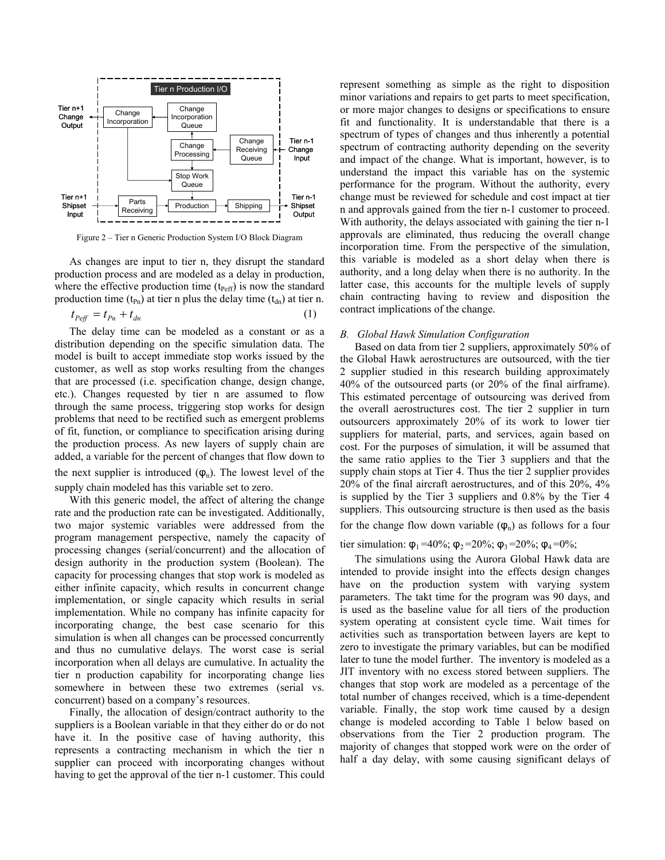

Figure 2 – Tier n Generic Production System I/O Block Diagram

As changes are input to tier n, they disrupt the standard production process and are modeled as a delay in production, where the effective production time  $(t_{\text{perf}})$  is now the standard production time ( $t_{\text{Pn}}$ ) at tier n plus the delay time ( $t_{\text{dn}}$ ) at tier n.

$$
t_{\text{Peff}} = t_{\text{Pn}} + t_{\text{dn}} \tag{1}
$$

The delay time can be modeled as a constant or as a distribution depending on the specific simulation data. The model is built to accept immediate stop works issued by the customer, as well as stop works resulting from the changes that are processed (i.e. specification change, design change, etc.). Changes requested by tier n are assumed to flow through the same process, triggering stop works for design problems that need to be rectified such as emergent problems of fit, function, or compliance to specification arising during the production process. As new layers of supply chain are added, a variable for the percent of changes that flow down to the next supplier is introduced  $(\varphi_n)$ . The lowest level of the supply chain modeled has this variable set to zero.

With this generic model, the affect of altering the change rate and the production rate can be investigated. Additionally, two major systemic variables were addressed from the program management perspective, namely the capacity of processing changes (serial/concurrent) and the allocation of design authority in the production system (Boolean). The capacity for processing changes that stop work is modeled as either infinite capacity, which results in concurrent change implementation, or single capacity which results in serial implementation. While no company has infinite capacity for incorporating change, the best case scenario for this simulation is when all changes can be processed concurrently and thus no cumulative delays. The worst case is serial incorporation when all delays are cumulative. In actuality the tier n production capability for incorporating change lies somewhere in between these two extremes (serial vs. concurrent) based on a company's resources.

Finally, the allocation of design/contract authority to the suppliers is a Boolean variable in that they either do or do not have it. In the positive case of having authority, this represents a contracting mechanism in which the tier n supplier can proceed with incorporating changes without having to get the approval of the tier n-1 customer. This could

represent something as simple as the right to disposition minor variations and repairs to get parts to meet specification, or more major changes to designs or specifications to ensure fit and functionality. It is understandable that there is a spectrum of types of changes and thus inherently a potential spectrum of contracting authority depending on the severity and impact of the change. What is important, however, is to understand the impact this variable has on the systemic performance for the program. Without the authority, every change must be reviewed for schedule and cost impact at tier n and approvals gained from the tier n-1 customer to proceed. With authority, the delays associated with gaining the tier n-1 approvals are eliminated, thus reducing the overall change incorporation time. From the perspective of the simulation, this variable is modeled as a short delay when there is authority, and a long delay when there is no authority. In the latter case, this accounts for the multiple levels of supply chain contracting having to review and disposition the contract implications of the change.

## *B. Global Hawk Simulation Configuration*

Based on data from tier 2 suppliers, approximately 50% of the Global Hawk aerostructures are outsourced, with the tier 2 supplier studied in this research building approximately 40% of the outsourced parts (or 20% of the final airframe). This estimated percentage of outsourcing was derived from the overall aerostructures cost. The tier 2 supplier in turn outsourcers approximately 20% of its work to lower tier suppliers for material, parts, and services, again based on cost. For the purposes of simulation, it will be assumed that the same ratio applies to the Tier 3 suppliers and that the supply chain stops at Tier 4. Thus the tier 2 supplier provides 20% of the final aircraft aerostructures, and of this 20%, 4% is supplied by the Tier 3 suppliers and 0.8% by the Tier 4 suppliers. This outsourcing structure is then used as the basis for the change flow down variable  $(\varphi_n)$  as follows for a four

tier simulation:  $\phi_1 = 40\%$ ;  $\phi_2 = 20\%$ ;  $\phi_3 = 20\%$ ;  $\phi_4 = 0\%$ ;

The simulations using the Aurora Global Hawk data are intended to provide insight into the effects design changes have on the production system with varying system parameters. The takt time for the program was 90 days, and is used as the baseline value for all tiers of the production system operating at consistent cycle time. Wait times for activities such as transportation between layers are kept to zero to investigate the primary variables, but can be modified later to tune the model further. The inventory is modeled as a JIT inventory with no excess stored between suppliers. The changes that stop work are modeled as a percentage of the total number of changes received, which is a time-dependent variable. Finally, the stop work time caused by a design change is modeled according to Table 1 below based on observations from the Tier 2 production program. The majority of changes that stopped work were on the order of half a day delay, with some causing significant delays of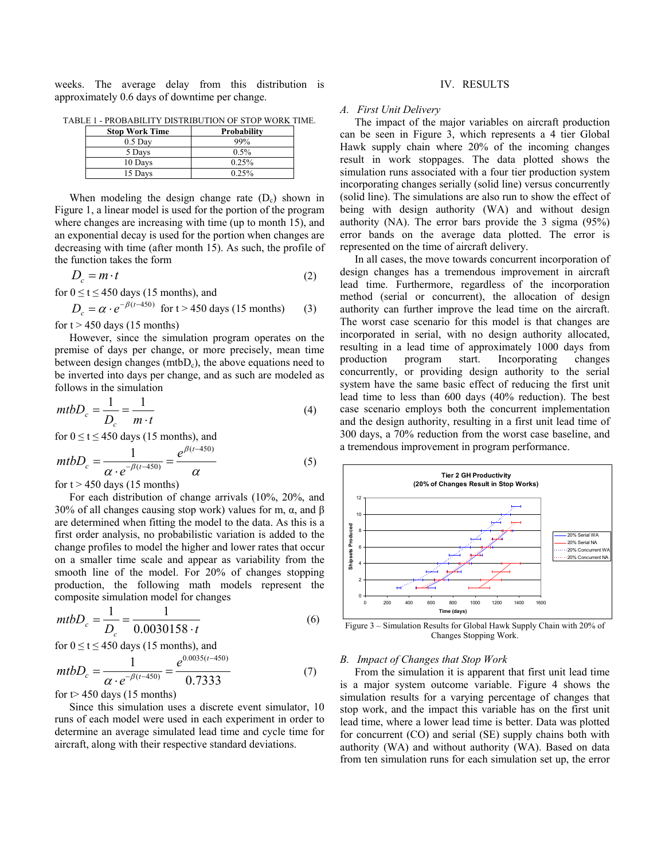weeks. The average delay from this distribution is approximately 0.6 days of downtime per change.

| <b>Stop Work Time</b> | Probability |
|-----------------------|-------------|
| $0.5$ Day             | 99%         |
| 5 Days                | 0.5%        |
| 10 Days               | 0.25%       |
| 15 Days               | 0.25%       |

TABLE 1 - PROBABILITY DISTRIBUTION OF STOP WORK TIME.

When modeling the design change rate  $(D<sub>c</sub>)$  shown in Figure 1, a linear model is used for the portion of the program where changes are increasing with time (up to month 15), and an exponential decay is used for the portion when changes are decreasing with time (after month 15). As such, the profile of the function takes the form

$$
D_c = m \cdot t \tag{2}
$$

for  $0 \le t \le 450$  days (15 months), and

$$
D_c = \alpha \cdot e^{-\beta(t - 450)} \text{ for } t > 450 \text{ days (15 months)} \tag{3}
$$

for  $t > 450$  days (15 months)

However, since the simulation program operates on the premise of days per change, or more precisely, mean time between design changes ( $m(bD<sub>c</sub>)$ , the above equations need to be inverted into days per change, and as such are modeled as follows in the simulation

$$
mtbD_c = \frac{1}{D_c} = \frac{1}{m \cdot t}
$$
 (4)

for  $0 \le t \le 450$  days (15 months), and

$$
mtbD_c = \frac{1}{\alpha \cdot e^{-\beta(t-450)}} = \frac{e^{\beta(t-450)}}{\alpha} \tag{5}
$$

for  $t > 450$  days (15 months)

For each distribution of change arrivals (10%, 20%, and 30% of all changes causing stop work) values for m,  $\alpha$ , and β are determined when fitting the model to the data. As this is a first order analysis, no probabilistic variation is added to the change profiles to model the higher and lower rates that occur on a smaller time scale and appear as variability from the smooth line of the model. For 20% of changes stopping production, the following math models represent the composite simulation model for changes

$$
mtbD_c = \frac{1}{D_c} = \frac{1}{0.0030158 \cdot t}
$$
 (6)

for 
$$
0 \le t \le 450
$$
 days (15 months), and  
\n
$$
mtbD_c = \frac{1}{\alpha \cdot e^{-\beta(t-450)}} = \frac{e^{0.0035(t-450)}}{0.7333}
$$

0.7333 for  $t$  > 450 days (15 months)

Since this simulation uses a discrete event simulator, 10 runs of each model were used in each experiment in order to determine an average simulated lead time and cycle time for aircraft, along with their respective standard deviations.

# IV. RESULTS

#### *A. First Unit Delivery*

The impact of the major variables on aircraft production can be seen in Figure 3, which represents a 4 tier Global Hawk supply chain where 20% of the incoming changes result in work stoppages. The data plotted shows the simulation runs associated with a four tier production system incorporating changes serially (solid line) versus concurrently (solid line). The simulations are also run to show the effect of being with design authority (WA) and without design authority (NA). The error bars provide the 3 sigma (95%) error bands on the average data plotted. The error is represented on the time of aircraft delivery.

In all cases, the move towards concurrent incorporation of design changes has a tremendous improvement in aircraft lead time. Furthermore, regardless of the incorporation method (serial or concurrent), the allocation of design authority can further improve the lead time on the aircraft. The worst case scenario for this model is that changes are incorporated in serial, with no design authority allocated, resulting in a lead time of approximately 1000 days from production program start. Incorporating changes concurrently, or providing design authority to the serial system have the same basic effect of reducing the first unit lead time to less than 600 days (40% reduction). The best case scenario employs both the concurrent implementation and the design authority, resulting in a first unit lead time of 300 days, a 70% reduction from the worst case baseline, and a tremendous improvement in program performance.



Figure 3 – Simulation Results for Global Hawk Supply Chain with 20% of Changes Stopping Work.

#### *B. Impact of Changes that Stop Work*

(7)

From the simulation it is apparent that first unit lead time is a major system outcome variable. Figure 4 shows the simulation results for a varying percentage of changes that stop work, and the impact this variable has on the first unit lead time, where a lower lead time is better. Data was plotted for concurrent (CO) and serial (SE) supply chains both with authority (WA) and without authority (WA). Based on data from ten simulation runs for each simulation set up, the error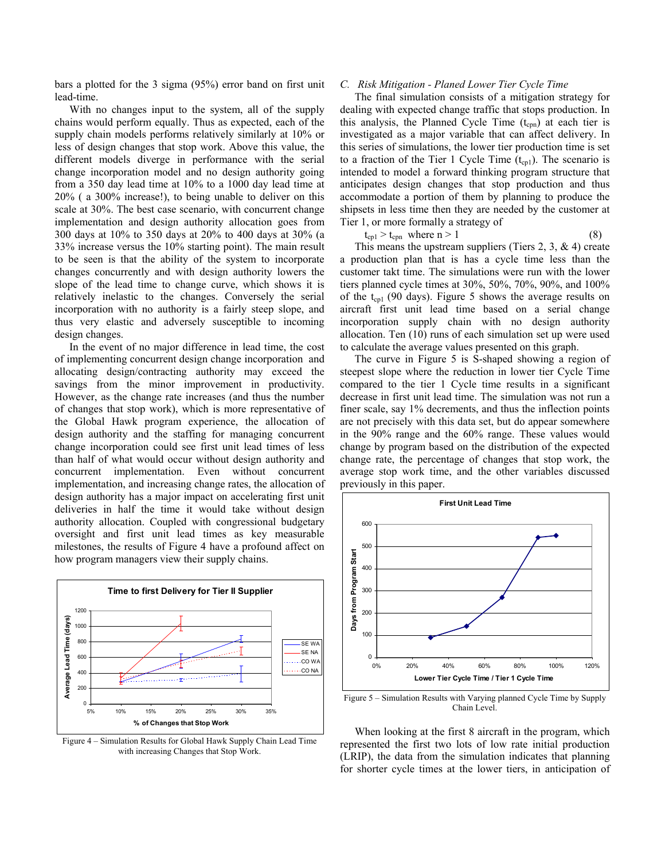bars a plotted for the 3 sigma (95%) error band on first unit lead-time.

With no changes input to the system, all of the supply chains would perform equally. Thus as expected, each of the supply chain models performs relatively similarly at 10% or less of design changes that stop work. Above this value, the different models diverge in performance with the serial change incorporation model and no design authority going from a 350 day lead time at 10% to a 1000 day lead time at 20% ( a 300% increase!), to being unable to deliver on this scale at 30%. The best case scenario, with concurrent change implementation and design authority allocation goes from 300 days at 10% to 350 days at 20% to 400 days at 30% (a 33% increase versus the 10% starting point). The main result to be seen is that the ability of the system to incorporate changes concurrently and with design authority lowers the slope of the lead time to change curve, which shows it is relatively inelastic to the changes. Conversely the serial incorporation with no authority is a fairly steep slope, and thus very elastic and adversely susceptible to incoming design changes.

In the event of no major difference in lead time, the cost of implementing concurrent design change incorporation and allocating design/contracting authority may exceed the savings from the minor improvement in productivity. However, as the change rate increases (and thus the number of changes that stop work), which is more representative of the Global Hawk program experience, the allocation of design authority and the staffing for managing concurrent change incorporation could see first unit lead times of less than half of what would occur without design authority and concurrent implementation. Even without concurrent implementation, and increasing change rates, the allocation of design authority has a major impact on accelerating first unit deliveries in half the time it would take without design authority allocation. Coupled with congressional budgetary oversight and first unit lead times as key measurable milestones, the results of Figure 4 have a profound affect on how program managers view their supply chains.



Figure 4 – Simulation Results for Global Hawk Supply Chain Lead Time with increasing Changes that Stop Work.

#### *C. Risk Mitigation - Planed Lower Tier Cycle Time*

The final simulation consists of a mitigation strategy for dealing with expected change traffic that stops production. In this analysis, the Planned Cycle Time  $(t_{\rm con})$  at each tier is investigated as a major variable that can affect delivery. In this series of simulations, the lower tier production time is set to a fraction of the Tier 1 Cycle Time  $(t_{\text{col}})$ . The scenario is intended to model a forward thinking program structure that anticipates design changes that stop production and thus accommodate a portion of them by planning to produce the shipsets in less time then they are needed by the customer at Tier 1, or more formally a strategy of

$$
t_{\rm cp1} > t_{\rm cpn} \text{ where } n > 1 \tag{8}
$$

This means the upstream suppliers (Tiers 2, 3,  $\&$  4) create a production plan that is has a cycle time less than the customer takt time. The simulations were run with the lower tiers planned cycle times at 30%, 50%, 70%, 90%, and 100% of the  $t_{cpl}$  (90 days). Figure 5 shows the average results on aircraft first unit lead time based on a serial change incorporation supply chain with no design authority allocation. Ten (10) runs of each simulation set up were used to calculate the average values presented on this graph.

The curve in Figure 5 is S-shaped showing a region of steepest slope where the reduction in lower tier Cycle Time compared to the tier 1 Cycle time results in a significant decrease in first unit lead time. The simulation was not run a finer scale, say 1% decrements, and thus the inflection points are not precisely with this data set, but do appear somewhere in the 90% range and the 60% range. These values would change by program based on the distribution of the expected change rate, the percentage of changes that stop work, the average stop work time, and the other variables discussed previously in this paper.



Figure 5 – Simulation Results with Varying planned Cycle Time by Supply Chain Level.

When looking at the first 8 aircraft in the program, which represented the first two lots of low rate initial production (LRIP), the data from the simulation indicates that planning for shorter cycle times at the lower tiers, in anticipation of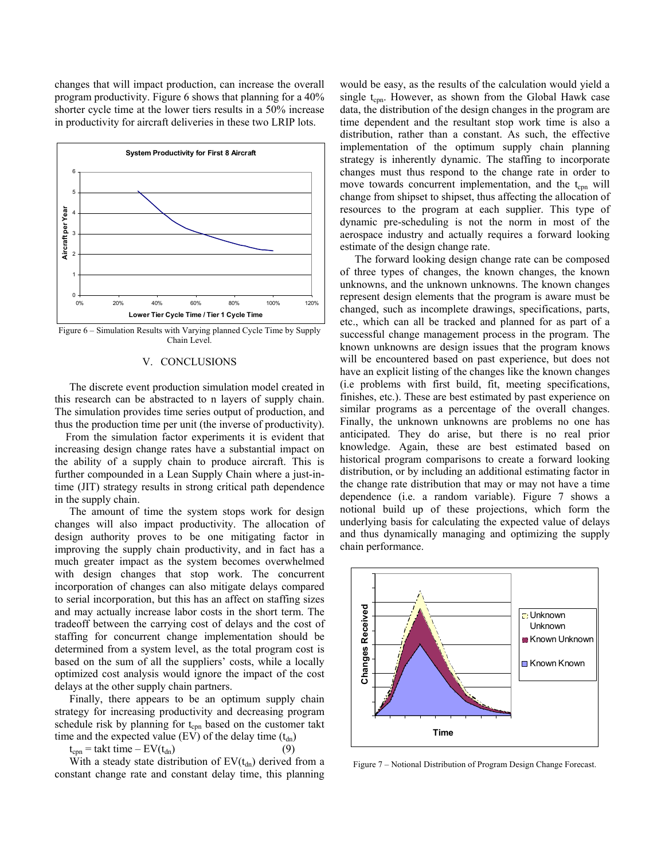changes that will impact production, can increase the overall program productivity. Figure 6 shows that planning for a 40% shorter cycle time at the lower tiers results in a 50% increase in productivity for aircraft deliveries in these two LRIP lots.



Figure 6 – Simulation Results with Varying planned Cycle Time by Supply Chain Level.

## V. CONCLUSIONS

The discrete event production simulation model created in this research can be abstracted to n layers of supply chain. The simulation provides time series output of production, and thus the production time per unit (the inverse of productivity).

 From the simulation factor experiments it is evident that increasing design change rates have a substantial impact on the ability of a supply chain to produce aircraft. This is further compounded in a Lean Supply Chain where a just-intime (JIT) strategy results in strong critical path dependence in the supply chain.

The amount of time the system stops work for design changes will also impact productivity. The allocation of design authority proves to be one mitigating factor in improving the supply chain productivity, and in fact has a much greater impact as the system becomes overwhelmed with design changes that stop work. The concurrent incorporation of changes can also mitigate delays compared to serial incorporation, but this has an affect on staffing sizes and may actually increase labor costs in the short term. The tradeoff between the carrying cost of delays and the cost of staffing for concurrent change implementation should be determined from a system level, as the total program cost is based on the sum of all the suppliers' costs, while a locally optimized cost analysis would ignore the impact of the cost delays at the other supply chain partners.

Finally, there appears to be an optimum supply chain strategy for increasing productivity and decreasing program schedule risk by planning for  $t_{cm}$  based on the customer takt time and the expected value (EV) of the delay time  $(t_{dn})$ 

 $t_{\text{con}}$  = takt time – EV( $t_{\text{dn}}$ )

With a steady state distribution of  $EV(t_{dn})$  derived from a constant change rate and constant delay time, this planning

would be easy, as the results of the calculation would yield a single  $t_{cpn}$ . However, as shown from the Global Hawk case data, the distribution of the design changes in the program are time dependent and the resultant stop work time is also a distribution, rather than a constant. As such, the effective implementation of the optimum supply chain planning strategy is inherently dynamic. The staffing to incorporate changes must thus respond to the change rate in order to move towards concurrent implementation, and the  $t_{cpn}$  will change from shipset to shipset, thus affecting the allocation of resources to the program at each supplier. This type of dynamic pre-scheduling is not the norm in most of the aerospace industry and actually requires a forward looking estimate of the design change rate.

The forward looking design change rate can be composed of three types of changes, the known changes, the known unknowns, and the unknown unknowns. The known changes represent design elements that the program is aware must be changed, such as incomplete drawings, specifications, parts, etc., which can all be tracked and planned for as part of a successful change management process in the program. The known unknowns are design issues that the program knows will be encountered based on past experience, but does not have an explicit listing of the changes like the known changes (i.e problems with first build, fit, meeting specifications, finishes, etc.). These are best estimated by past experience on similar programs as a percentage of the overall changes. Finally, the unknown unknowns are problems no one has anticipated. They do arise, but there is no real prior knowledge. Again, these are best estimated based on historical program comparisons to create a forward looking distribution, or by including an additional estimating factor in the change rate distribution that may or may not have a time dependence (i.e. a random variable). Figure 7 shows a notional build up of these projections, which form the underlying basis for calculating the expected value of delays and thus dynamically managing and optimizing the supply chain performance.



Figure 7 – Notional Distribution of Program Design Change Forecast.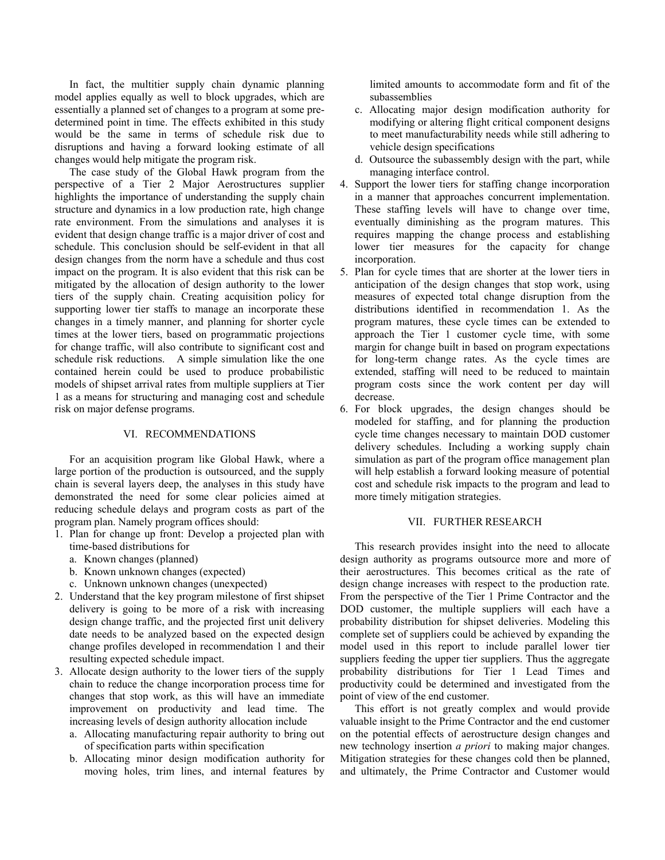In fact, the multitier supply chain dynamic planning model applies equally as well to block upgrades, which are essentially a planned set of changes to a program at some predetermined point in time. The effects exhibited in this study would be the same in terms of schedule risk due to disruptions and having a forward looking estimate of all changes would help mitigate the program risk.

The case study of the Global Hawk program from the perspective of a Tier 2 Major Aerostructures supplier highlights the importance of understanding the supply chain structure and dynamics in a low production rate, high change rate environment. From the simulations and analyses it is evident that design change traffic is a major driver of cost and schedule. This conclusion should be self-evident in that all design changes from the norm have a schedule and thus cost impact on the program. It is also evident that this risk can be mitigated by the allocation of design authority to the lower tiers of the supply chain. Creating acquisition policy for supporting lower tier staffs to manage an incorporate these changes in a timely manner, and planning for shorter cycle times at the lower tiers, based on programmatic projections for change traffic, will also contribute to significant cost and schedule risk reductions. A simple simulation like the one contained herein could be used to produce probabilistic models of shipset arrival rates from multiple suppliers at Tier 1 as a means for structuring and managing cost and schedule risk on major defense programs.

#### VI. RECOMMENDATIONS

For an acquisition program like Global Hawk, where a large portion of the production is outsourced, and the supply chain is several layers deep, the analyses in this study have demonstrated the need for some clear policies aimed at reducing schedule delays and program costs as part of the program plan. Namely program offices should:

- 1. Plan for change up front: Develop a projected plan with time-based distributions for
	- a. Known changes (planned)
	- b. Known unknown changes (expected)
	- c. Unknown unknown changes (unexpected)
- 2. Understand that the key program milestone of first shipset delivery is going to be more of a risk with increasing design change traffic, and the projected first unit delivery date needs to be analyzed based on the expected design change profiles developed in recommendation 1 and their resulting expected schedule impact.
- 3. Allocate design authority to the lower tiers of the supply chain to reduce the change incorporation process time for changes that stop work, as this will have an immediate improvement on productivity and lead time. The increasing levels of design authority allocation include
	- a. Allocating manufacturing repair authority to bring out of specification parts within specification
	- b. Allocating minor design modification authority for moving holes, trim lines, and internal features by

limited amounts to accommodate form and fit of the subassemblies

- c. Allocating major design modification authority for modifying or altering flight critical component designs to meet manufacturability needs while still adhering to vehicle design specifications
- d. Outsource the subassembly design with the part, while managing interface control.
- 4. Support the lower tiers for staffing change incorporation in a manner that approaches concurrent implementation. These staffing levels will have to change over time, eventually diminishing as the program matures. This requires mapping the change process and establishing lower tier measures for the capacity for change incorporation.
- 5. Plan for cycle times that are shorter at the lower tiers in anticipation of the design changes that stop work, using measures of expected total change disruption from the distributions identified in recommendation 1. As the program matures, these cycle times can be extended to approach the Tier 1 customer cycle time, with some margin for change built in based on program expectations for long-term change rates. As the cycle times are extended, staffing will need to be reduced to maintain program costs since the work content per day will decrease.
- 6. For block upgrades, the design changes should be modeled for staffing, and for planning the production cycle time changes necessary to maintain DOD customer delivery schedules. Including a working supply chain simulation as part of the program office management plan will help establish a forward looking measure of potential cost and schedule risk impacts to the program and lead to more timely mitigation strategies.

# VII. FURTHER RESEARCH

This research provides insight into the need to allocate design authority as programs outsource more and more of their aerostructures. This becomes critical as the rate of design change increases with respect to the production rate. From the perspective of the Tier 1 Prime Contractor and the DOD customer, the multiple suppliers will each have a probability distribution for shipset deliveries. Modeling this complete set of suppliers could be achieved by expanding the model used in this report to include parallel lower tier suppliers feeding the upper tier suppliers. Thus the aggregate probability distributions for Tier 1 Lead Times and productivity could be determined and investigated from the point of view of the end customer.

This effort is not greatly complex and would provide valuable insight to the Prime Contractor and the end customer on the potential effects of aerostructure design changes and new technology insertion *a priori* to making major changes. Mitigation strategies for these changes cold then be planned, and ultimately, the Prime Contractor and Customer would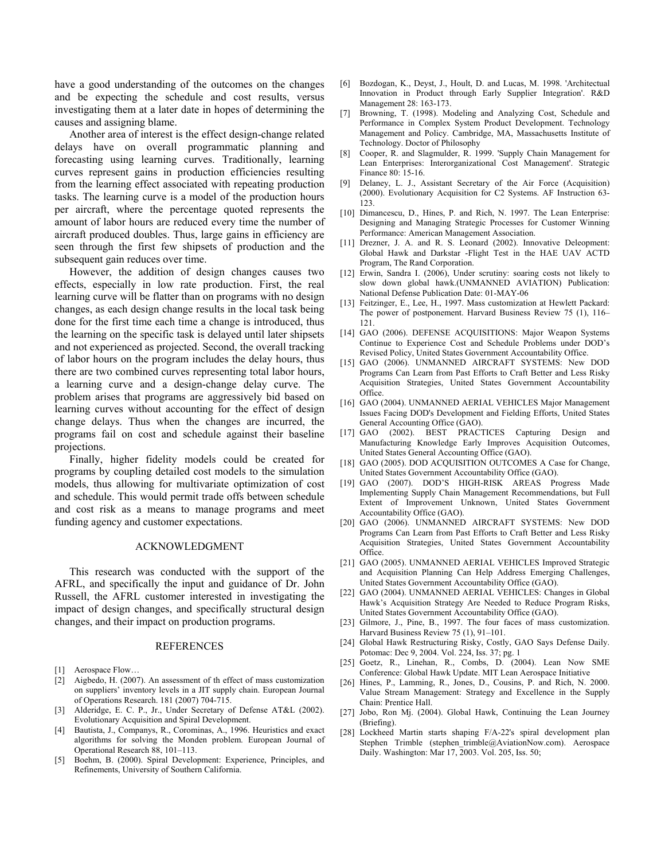have a good understanding of the outcomes on the changes and be expecting the schedule and cost results, versus investigating them at a later date in hopes of determining the causes and assigning blame.

Another area of interest is the effect design-change related delays have on overall programmatic planning and forecasting using learning curves. Traditionally, learning curves represent gains in production efficiencies resulting from the learning effect associated with repeating production tasks. The learning curve is a model of the production hours per aircraft, where the percentage quoted represents the amount of labor hours are reduced every time the number of aircraft produced doubles. Thus, large gains in efficiency are seen through the first few shipsets of production and the subsequent gain reduces over time.

However, the addition of design changes causes two effects, especially in low rate production. First, the real learning curve will be flatter than on programs with no design changes, as each design change results in the local task being done for the first time each time a change is introduced, thus the learning on the specific task is delayed until later shipsets and not experienced as projected. Second, the overall tracking of labor hours on the program includes the delay hours, thus there are two combined curves representing total labor hours, a learning curve and a design-change delay curve. The problem arises that programs are aggressively bid based on learning curves without accounting for the effect of design change delays. Thus when the changes are incurred, the programs fail on cost and schedule against their baseline projections.

Finally, higher fidelity models could be created for programs by coupling detailed cost models to the simulation models, thus allowing for multivariate optimization of cost and schedule. This would permit trade offs between schedule and cost risk as a means to manage programs and meet funding agency and customer expectations.

## ACKNOWLEDGMENT

This research was conducted with the support of the AFRL, and specifically the input and guidance of Dr. John Russell, the AFRL customer interested in investigating the impact of design changes, and specifically structural design changes, and their impact on production programs.

#### REFERENCES

- [1] Aerospace Flow...
- [2] Aigbedo, H. (2007). An assessment of th effect of mass customization on suppliers' inventory levels in a JIT supply chain. European Journal of Operations Research. 181 (2007) 704-715.
- [3] Alderidge, E. C. P., Jr., Under Secretary of Defense AT&L (2002). Evolutionary Acquisition and Spiral Development.
- [4] Bautista, J., Companys, R., Corominas, A., 1996. Heuristics and exact algorithms for solving the Monden problem. European Journal of Operational Research 88, 101–113.
- [5] Boehm, B. (2000). Spiral Development: Experience, Principles, and Refinements, University of Southern California.
- [6] Bozdogan, K., Deyst, J., Hoult, D. and Lucas, M. 1998. 'Architectual Innovation in Product through Early Supplier Integration'. R&D Management 28: 163-173.
- [7] Browning, T. (1998). Modeling and Analyzing Cost, Schedule and Performance in Complex System Product Development. Technology Management and Policy. Cambridge, MA, Massachusetts Institute of Technology. Doctor of Philosophy
- [8] Cooper, R. and Slagmulder, R. 1999. 'Supply Chain Management for Lean Enterprises: Interorganizational Cost Management'. Strategic Finance 80: 15-16.
- [9] Delaney, L. J., Assistant Secretary of the Air Force (Acquisition) (2000). Evolutionary Acquisition for C2 Systems. AF Instruction 63- 123.
- [10] Dimancescu, D., Hines, P. and Rich, N. 1997. The Lean Enterprise: Designing and Managing Strategic Processes for Customer Winning Performance: American Management Association.
- [11] Drezner, J. A. and R. S. Leonard (2002). Innovative Deleopment: Global Hawk and Darkstar -Flight Test in the HAE UAV ACTD Program, The Rand Corporation.
- [12] Erwin, Sandra I. (2006), Under scrutiny: soaring costs not likely to slow down global hawk.(UNMANNED AVIATION) Publication: National Defense Publication Date: 01-MAY-06
- [13] Feitzinger, E., Lee, H., 1997. Mass customization at Hewlett Packard: The power of postponement. Harvard Business Review 75 (1), 116– 121.
- [14] GAO (2006). DEFENSE ACQUISITIONS: Major Weapon Systems Continue to Experience Cost and Schedule Problems under DOD's Revised Policy, United States Government Accountability Office.
- [15] GAO (2006). UNMANNED AIRCRAFT SYSTEMS: New DOD Programs Can Learn from Past Efforts to Craft Better and Less Risky Acquisition Strategies, United States Government Accountability Office.
- [16] GAO (2004). UNMANNED AERIAL VEHICLES Major Management Issues Facing DOD's Development and Fielding Efforts, United States General Accounting Office (GAO).
- [17] GAO (2002). BEST PRACTICES Capturing Design and Manufacturing Knowledge Early Improves Acquisition Outcomes, United States General Accounting Office (GAO).
- [18] GAO (2005). DOD ACQUISITION OUTCOMES A Case for Change, United States Government Accountability Office (GAO).
- [19] GAO (2007). DOD'S HIGH-RISK AREAS Progress Made Implementing Supply Chain Management Recommendations, but Full Extent of Improvement Unknown, United States Government Accountability Office (GAO).
- [20] GAO (2006). UNMANNED AIRCRAFT SYSTEMS: New DOD Programs Can Learn from Past Efforts to Craft Better and Less Risky Acquisition Strategies, United States Government Accountability Office.
- [21] GAO (2005). UNMANNED AERIAL VEHICLES Improved Strategic and Acquisition Planning Can Help Address Emerging Challenges, United States Government Accountability Office (GAO).
- [22] GAO (2004). UNMANNED AERIAL VEHICLES: Changes in Global Hawk's Acquisition Strategy Are Needed to Reduce Program Risks, United States Government Accountability Office (GAO).
- [23] Gilmore, J., Pine, B., 1997. The four faces of mass customization. Harvard Business Review 75 (1), 91–101.
- [24] Global Hawk Restructuring Risky, Costly, GAO Says Defense Daily. Potomac: Dec 9, 2004. Vol. 224, Iss. 37; pg. 1
- [25] Goetz, R., Linehan, R., Combs, D. (2004). Lean Now SME Conference: Global Hawk Update. MIT Lean Aerospace Initiative
- [26] Hines, P., Lamming, R., Jones, D., Cousins, P. and Rich, N. 2000. Value Stream Management: Strategy and Excellence in the Supply Chain: Prentice Hall.
- [27] Jobo, Ron Mj. (2004). Global Hawk, Continuing the Lean Journey (Briefing).
- [28] Lockheed Martin starts shaping F/A-22's spiral development plan Stephen Trimble (stephen trimble@AviationNow.com). Aerospace Daily. Washington: Mar 17, 2003. Vol. 205, Iss. 50;